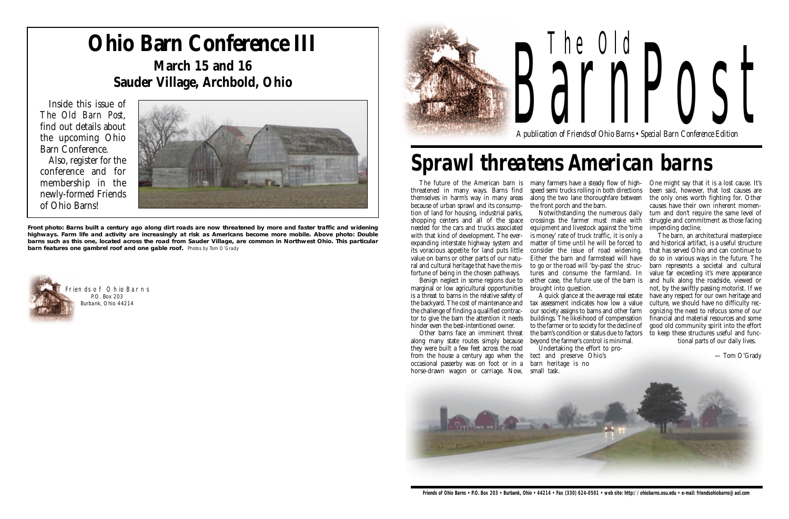

# The Old *A publication of Friends of Ohio Barns • Special Barn Conference Edition* arnPost



### **Ohio Barn Conference III March 15 and 16 Sauder Village, Archbold, Ohio**

Inside this issue of *The Old Barn Post*, find out details about the upcoming Ohio Barn Conference. Also, register for the conference and for membership in the newly-formed Friends

of Ohio Barns!



The future of the American barn is many farmers have a steady flow of highthreatened in many ways. Barns find themselves in harm's way in many areas along the two lane thoroughfare between because of urban sprawl and its consumption of land for housing, industrial parks, shopping centers and all of the space needed for the cars and trucks associated with that kind of development. The everexpanding interstate highway system and its voracious appetite for land puts little value on barns or other parts of our natufortune of being in the chosen pathways.

marginal or low agricultural opportunities is a threat to barns in the relative safety of the backyard. The cost of maintenance and the challenge of finding a qualified contractor to give the barn the attention it needs hinder even the best-intentioned owner.

ral and cultural heritage that have the mis-to go or the road will 'by-pass' the struc-Benign neglect in some regions due to either case, the future use of the barn is the front porch and the barn. Notwithstanding the numerous daily crossings the farmer must make with equipment and livestock against the 'time is money' rate of truck traffic, it is only a matter of time until he will be forced to consider the issue of road widening. Either the barn and farmstead will have tures and consume the farmland. In brought into question.



speed semi trucks rolling in both directions

Other barns face an imminent threat along many state routes simply because beyond the farmer's control is minimal. occasional passerby was on foot or in a barn heritage is no

they were built a few feet across the road from the house a century ago when the horse-drawn wagon or carriage. Now, small task.

A quick glance at the average real estate tax assessment indicates how low a value our society assigns to barns and other farm buildings. The likelihood of compensation to the farmer or to society for the decline of the barn's condition or status due to factors

Undertaking the effort to protect and preserve Ohio's

One might say that it is a lost cause. It's been said, however, that lost causes are the only ones worth fighting for. Other causes have their own inherent momentum and don't require the same level of struggle and commitment as those facing impending decline.

The barn, an architectural masterpiece and historical artifact, is a useful structure that has served Ohio and can continue to do so in various ways in the future. The barn represents a societal and cultural value far exceeding it's mere appearance and hulk along the roadside, viewed or not, by the swiftly passing motorist. If we have any respect for our own heritage and culture, we should have no difficulty recognizing the need to refocus some of our financial and material resources and some good old community spirit into the effort to keep these structures useful and func-

tional parts of our daily lives.

— Tom O'Grady

## *Sprawl threatens American barns*

**Front photo: Barns built a century ago along dirt roads are now threatened by more and faster traffic and widening highways. Farm life and activity are increasingly at risk as Americans become more mobile. Above photo: Double barns such as this one, located across the road from Sauder Village, are common in Northwest Ohio. This particular barn features one gambrel roof and one gable roof.** Photos by Tom O'Grady